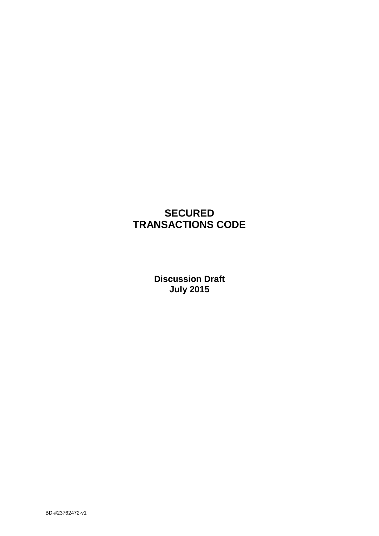# **SECURED TRANSACTIONS CODE**

**Discussion Draft July 2015**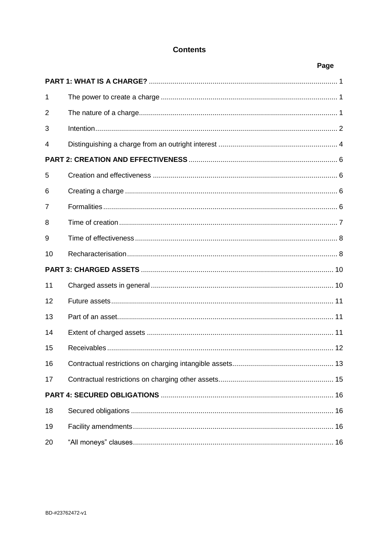## **Contents**

|                  | Page |
|------------------|------|
|                  |      |
| 1                |      |
| $\overline{2}$   |      |
| 3                |      |
| 4                |      |
|                  |      |
| 5                |      |
| 6                |      |
| 7                |      |
| 8                |      |
| 9                |      |
| 10               |      |
|                  |      |
| 11               |      |
| 12               |      |
| 13               |      |
| 14               |      |
| 15 <sub>15</sub> |      |
| 16               |      |
| 17               |      |
|                  |      |
| 18               |      |
| 19               |      |
| 20               |      |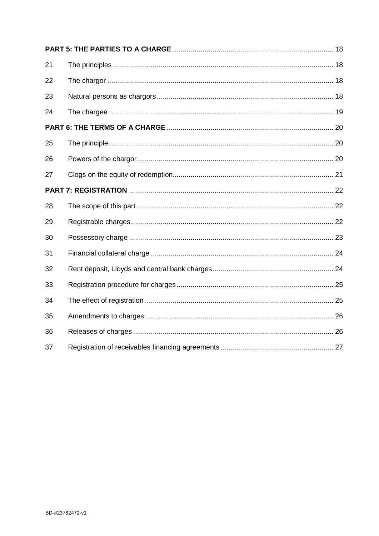| 21 |  |  |  |  |
|----|--|--|--|--|
| 22 |  |  |  |  |
| 23 |  |  |  |  |
| 24 |  |  |  |  |
|    |  |  |  |  |
| 25 |  |  |  |  |
| 26 |  |  |  |  |
| 27 |  |  |  |  |
|    |  |  |  |  |
| 28 |  |  |  |  |
| 29 |  |  |  |  |
| 30 |  |  |  |  |
| 31 |  |  |  |  |
| 32 |  |  |  |  |
| 33 |  |  |  |  |
| 34 |  |  |  |  |
| 35 |  |  |  |  |
| 36 |  |  |  |  |
| 37 |  |  |  |  |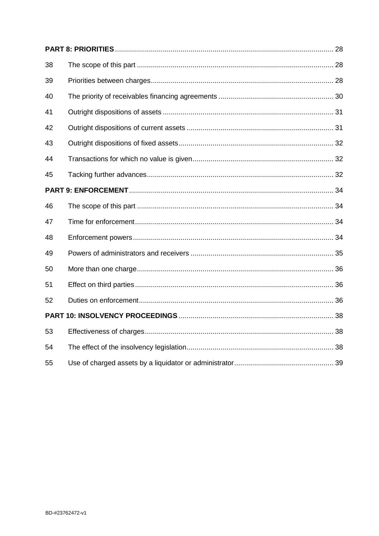| 38 |  |
|----|--|
| 39 |  |
| 40 |  |
| 41 |  |
| 42 |  |
| 43 |  |
| 44 |  |
| 45 |  |
|    |  |
| 46 |  |
| 47 |  |
| 48 |  |
| 49 |  |
| 50 |  |
| 51 |  |
| 52 |  |
|    |  |
| 53 |  |
| 54 |  |
| 55 |  |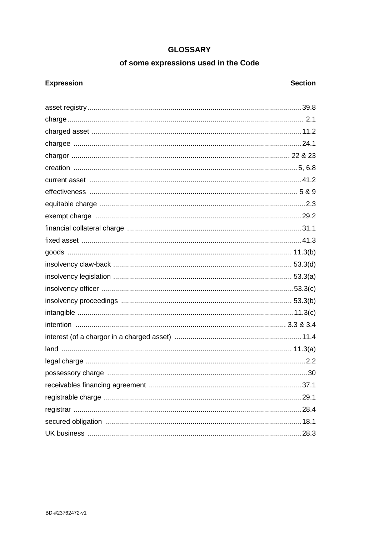## **GLOSSARY**

## of some expressions used in the Code

## **Expression**

## **Section**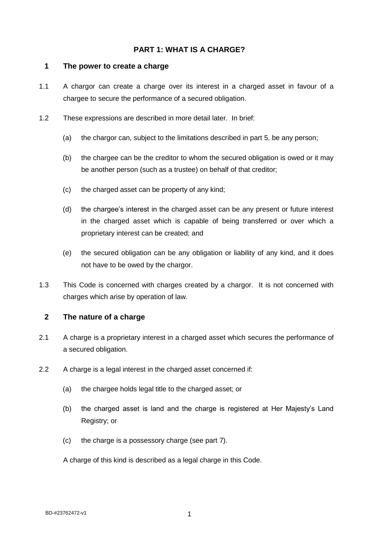### <span id="page-5-0"></span>**PART 1: WHAT IS A CHARGE?**

#### <span id="page-5-1"></span>**1 The power to create a charge**

- 1.1 A chargor can create a charge over its interest in a charged asset in favour of a chargee to secure the performance of a secured obligation.
- 1.2 These expressions are described in more detail later. In brief:
	- (a) the chargor can, subject to the limitations described in part 5, be any person;
	- (b) the chargee can be the creditor to whom the secured obligation is owed or it may be another person (such as a trustee) on behalf of that creditor;
	- (c) the charged asset can be property of any kind;
	- (d) the chargee's interest in the charged asset can be any present or future interest in the charged asset which is capable of being transferred or over which a proprietary interest can be created; and
	- (e) the secured obligation can be any obligation or liability of any kind, and it does not have to be owed by the chargor.
- 1.3 This Code is concerned with charges created by a chargor. It is not concerned with charges which arise by operation of law.

#### <span id="page-5-2"></span>**2 The nature of a charge**

- 2.1 A charge is a proprietary interest in a charged asset which secures the performance of a secured obligation.
- 2.2 A charge is a legal interest in the charged asset concerned if:
	- (a) the chargee holds legal title to the charged asset; or
	- (b) the charged asset is land and the charge is registered at Her Majesty's Land Registry; or
	- (c) the charge is a possessory charge (see part 7).

A charge of this kind is described as a legal charge in this Code.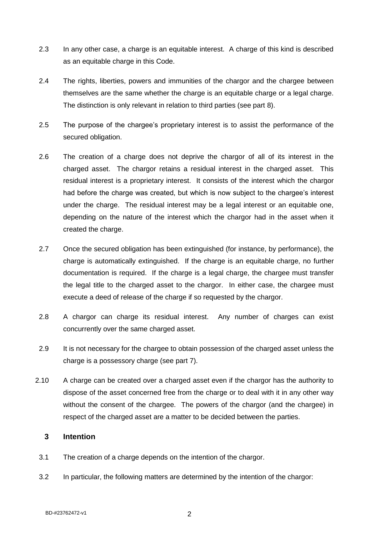- 2.3 In any other case, a charge is an equitable interest. A charge of this kind is described as an equitable charge in this Code.
- 2.4 The rights, liberties, powers and immunities of the chargor and the chargee between themselves are the same whether the charge is an equitable charge or a legal charge. The distinction is only relevant in relation to third parties (see part 8).
- 2.5 The purpose of the chargee's proprietary interest is to assist the performance of the secured obligation.
- 2.6 The creation of a charge does not deprive the chargor of all of its interest in the charged asset. The chargor retains a residual interest in the charged asset. This residual interest is a proprietary interest. It consists of the interest which the chargor had before the charge was created, but which is now subject to the chargee's interest under the charge. The residual interest may be a legal interest or an equitable one, depending on the nature of the interest which the chargor had in the asset when it created the charge.
- 2.7 Once the secured obligation has been extinguished (for instance, by performance), the charge is automatically extinguished. If the charge is an equitable charge, no further documentation is required. If the charge is a legal charge, the chargee must transfer the legal title to the charged asset to the chargor. In either case, the chargee must execute a deed of release of the charge if so requested by the chargor.
- 2.8 A chargor can charge its residual interest. Any number of charges can exist concurrently over the same charged asset.
- 2.9 It is not necessary for the chargee to obtain possession of the charged asset unless the charge is a possessory charge (see part 7).
- 2.10 A charge can be created over a charged asset even if the chargor has the authority to dispose of the asset concerned free from the charge or to deal with it in any other way without the consent of the chargee. The powers of the chargor (and the chargee) in respect of the charged asset are a matter to be decided between the parties.

### <span id="page-6-0"></span>**3 Intention**

- 3.1 The creation of a charge depends on the intention of the chargor.
- 3.2 In particular, the following matters are determined by the intention of the chargor: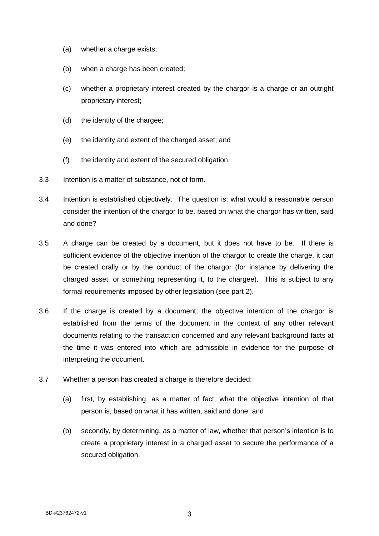- (a) whether a charge exists;
- (b) when a charge has been created;
- (c) whether a proprietary interest created by the chargor is a charge or an outright proprietary interest;
- (d) the identity of the chargee;
- (e) the identity and extent of the charged asset; and
- (f) the identity and extent of the secured obligation.
- 3.3 Intention is a matter of substance, not of form.
- 3.4 Intention is established objectively. The question is: what would a reasonable person consider the intention of the chargor to be, based on what the chargor has written, said and done?
- 3.5 A charge can be created by a document, but it does not have to be. If there is sufficient evidence of the objective intention of the chargor to create the charge, it can be created orally or by the conduct of the chargor (for instance by delivering the charged asset, or something representing it, to the chargee). This is subject to any formal requirements imposed by other legislation (see part 2).
- 3.6 If the charge is created by a document, the objective intention of the chargor is established from the terms of the document in the context of any other relevant documents relating to the transaction concerned and any relevant background facts at the time it was entered into which are admissible in evidence for the purpose of interpreting the document.
- 3.7 Whether a person has created a charge is therefore decided:
	- (a) first, by establishing, as a matter of fact, what the objective intention of that person is, based on what it has written, said and done; and
	- (b) secondly, by determining, as a matter of law, whether that person's intention is to create a proprietary interest in a charged asset to secure the performance of a secured obligation.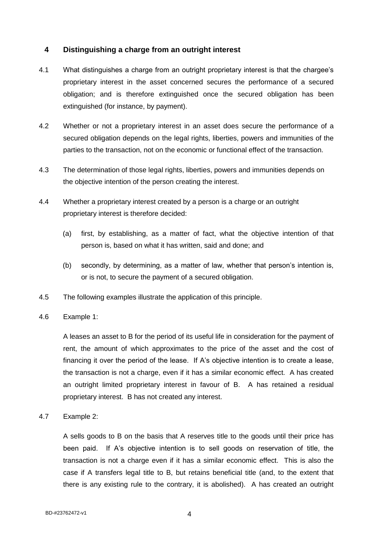### <span id="page-8-0"></span>**4 Distinguishing a charge from an outright interest**

- 4.1 What distinguishes a charge from an outright proprietary interest is that the chargee's proprietary interest in the asset concerned secures the performance of a secured obligation; and is therefore extinguished once the secured obligation has been extinguished (for instance, by payment).
- 4.2 Whether or not a proprietary interest in an asset does secure the performance of a secured obligation depends on the legal rights, liberties, powers and immunities of the parties to the transaction, not on the economic or functional effect of the transaction.
- 4.3 The determination of those legal rights, liberties, powers and immunities depends on the objective intention of the person creating the interest.
- 4.4 Whether a proprietary interest created by a person is a charge or an outright proprietary interest is therefore decided:
	- (a) first, by establishing, as a matter of fact, what the objective intention of that person is, based on what it has written, said and done; and
	- (b) secondly, by determining, as a matter of law, whether that person's intention is, or is not, to secure the payment of a secured obligation.
- 4.5 The following examples illustrate the application of this principle.
- 4.6 Example 1:

A leases an asset to B for the period of its useful life in consideration for the payment of rent, the amount of which approximates to the price of the asset and the cost of financing it over the period of the lease. If A's objective intention is to create a lease, the transaction is not a charge, even if it has a similar economic effect. A has created an outright limited proprietary interest in favour of B. A has retained a residual proprietary interest. B has not created any interest.

4.7 Example 2:

A sells goods to B on the basis that A reserves title to the goods until their price has been paid. If A's objective intention is to sell goods on reservation of title, the transaction is not a charge even if it has a similar economic effect. This is also the case if A transfers legal title to B, but retains beneficial title (and, to the extent that there is any existing rule to the contrary, it is abolished). A has created an outright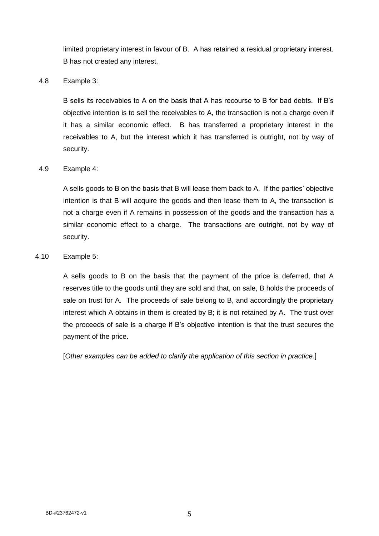limited proprietary interest in favour of B. A has retained a residual proprietary interest. B has not created any interest.

#### 4.8 Example 3:

B sells its receivables to A on the basis that A has recourse to B for bad debts. If B's objective intention is to sell the receivables to A, the transaction is not a charge even if it has a similar economic effect. B has transferred a proprietary interest in the receivables to A, but the interest which it has transferred is outright, not by way of security.

#### 4.9 Example 4:

A sells goods to B on the basis that B will lease them back to A. If the parties' objective intention is that B will acquire the goods and then lease them to A, the transaction is not a charge even if A remains in possession of the goods and the transaction has a similar economic effect to a charge. The transactions are outright, not by way of security.

#### 4.10 Example 5:

A sells goods to B on the basis that the payment of the price is deferred, that A reserves title to the goods until they are sold and that, on sale, B holds the proceeds of sale on trust for A. The proceeds of sale belong to B, and accordingly the proprietary interest which A obtains in them is created by B; it is not retained by A. The trust over the proceeds of sale is a charge if B's objective intention is that the trust secures the payment of the price.

[*Other examples can be added to clarify the application of this section in practice.*]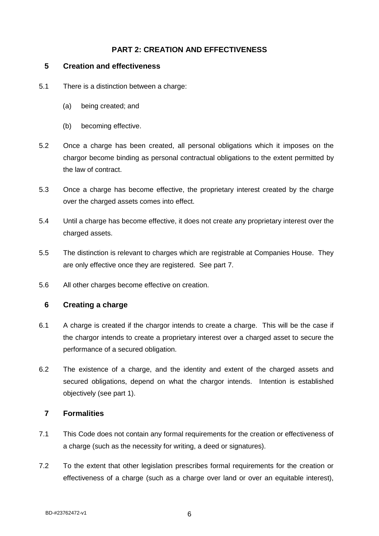## <span id="page-10-0"></span>**PART 2: CREATION AND EFFECTIVENESS**

### <span id="page-10-1"></span>**5 Creation and effectiveness**

- 5.1 There is a distinction between a charge:
	- (a) being created; and
	- (b) becoming effective.
- 5.2 Once a charge has been created, all personal obligations which it imposes on the chargor become binding as personal contractual obligations to the extent permitted by the law of contract.
- 5.3 Once a charge has become effective, the proprietary interest created by the charge over the charged assets comes into effect.
- 5.4 Until a charge has become effective, it does not create any proprietary interest over the charged assets.
- 5.5 The distinction is relevant to charges which are registrable at Companies House. They are only effective once they are registered. See part 7.
- 5.6 All other charges become effective on creation.

### <span id="page-10-2"></span>**6 Creating a charge**

- 6.1 A charge is created if the chargor intends to create a charge. This will be the case if the chargor intends to create a proprietary interest over a charged asset to secure the performance of a secured obligation.
- 6.2 The existence of a charge, and the identity and extent of the charged assets and secured obligations, depend on what the chargor intends. Intention is established objectively (see part 1).

### <span id="page-10-3"></span>**7 Formalities**

- 7.1 This Code does not contain any formal requirements for the creation or effectiveness of a charge (such as the necessity for writing, a deed or signatures).
- 7.2 To the extent that other legislation prescribes formal requirements for the creation or effectiveness of a charge (such as a charge over land or over an equitable interest),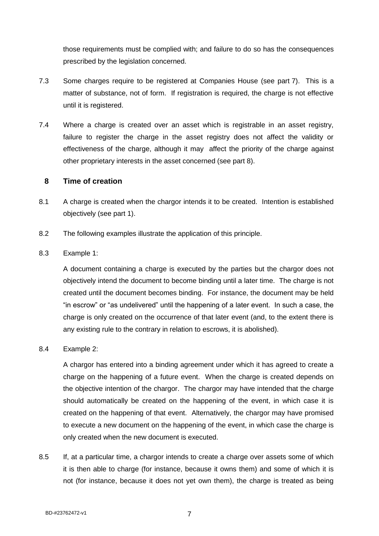those requirements must be complied with; and failure to do so has the consequences prescribed by the legislation concerned.

- 7.3 Some charges require to be registered at Companies House (see part 7). This is a matter of substance, not of form. If registration is required, the charge is not effective until it is registered.
- 7.4 Where a charge is created over an asset which is registrable in an asset registry, failure to register the charge in the asset registry does not affect the validity or effectiveness of the charge, although it may affect the priority of the charge against other proprietary interests in the asset concerned (see part 8).

### <span id="page-11-0"></span>**8 Time of creation**

- 8.1 A charge is created when the chargor intends it to be created. Intention is established objectively (see part 1).
- 8.2 The following examples illustrate the application of this principle.

### 8.3 Example 1:

A document containing a charge is executed by the parties but the chargor does not objectively intend the document to become binding until a later time. The charge is not created until the document becomes binding. For instance, the document may be held "in escrow" or "as undelivered" until the happening of a later event. In such a case, the charge is only created on the occurrence of that later event (and, to the extent there is any existing rule to the contrary in relation to escrows, it is abolished).

#### 8.4 Example 2:

A chargor has entered into a binding agreement under which it has agreed to create a charge on the happening of a future event. When the charge is created depends on the objective intention of the chargor. The chargor may have intended that the charge should automatically be created on the happening of the event, in which case it is created on the happening of that event. Alternatively, the chargor may have promised to execute a new document on the happening of the event, in which case the charge is only created when the new document is executed.

8.5 If, at a particular time, a chargor intends to create a charge over assets some of which it is then able to charge (for instance, because it owns them) and some of which it is not (for instance, because it does not yet own them), the charge is treated as being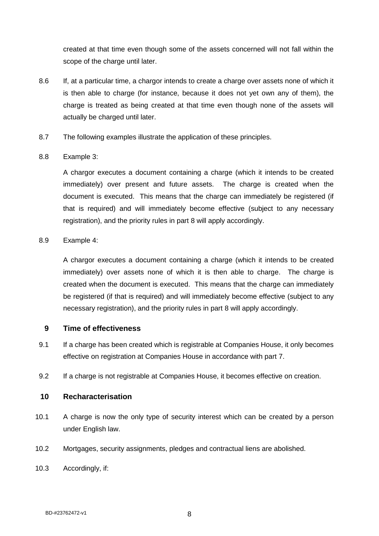created at that time even though some of the assets concerned will not fall within the scope of the charge until later.

- 8.6 If, at a particular time, a chargor intends to create a charge over assets none of which it is then able to charge (for instance, because it does not yet own any of them), the charge is treated as being created at that time even though none of the assets will actually be charged until later.
- 8.7 The following examples illustrate the application of these principles.

### 8.8 Example 3:

A chargor executes a document containing a charge (which it intends to be created immediately) over present and future assets. The charge is created when the document is executed. This means that the charge can immediately be registered (if that is required) and will immediately become effective (subject to any necessary registration), and the priority rules in part 8 will apply accordingly.

#### 8.9 Example 4:

A chargor executes a document containing a charge (which it intends to be created immediately) over assets none of which it is then able to charge. The charge is created when the document is executed. This means that the charge can immediately be registered (if that is required) and will immediately become effective (subject to any necessary registration), and the priority rules in part 8 will apply accordingly.

### <span id="page-12-0"></span>**9 Time of effectiveness**

- 9.1 If a charge has been created which is registrable at Companies House, it only becomes effective on registration at Companies House in accordance with part 7.
- 9.2 If a charge is not registrable at Companies House, it becomes effective on creation.

#### <span id="page-12-1"></span>**10 Recharacterisation**

- 10.1 A charge is now the only type of security interest which can be created by a person under English law.
- 10.2 Mortgages, security assignments, pledges and contractual liens are abolished.
- 10.3 Accordingly, if: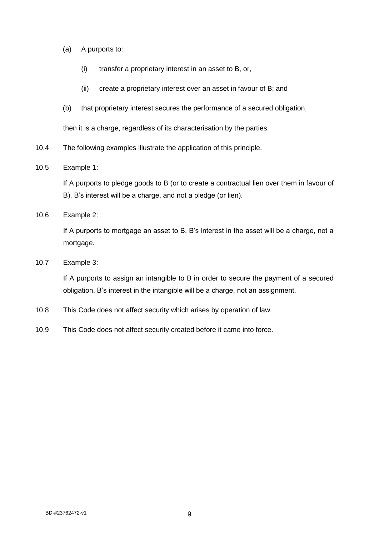- (a) A purports to:
	- (i) transfer a proprietary interest in an asset to B, or,
	- (ii) create a proprietary interest over an asset in favour of B; and
- (b) that proprietary interest secures the performance of a secured obligation,

then it is a charge, regardless of its characterisation by the parties.

- 10.4 The following examples illustrate the application of this principle.
- 10.5 Example 1:

If A purports to pledge goods to B (or to create a contractual lien over them in favour of B), B's interest will be a charge, and not a pledge (or lien).

10.6 Example 2:

If A purports to mortgage an asset to B, B's interest in the asset will be a charge, not a mortgage.

10.7 Example 3:

If A purports to assign an intangible to B in order to secure the payment of a secured obligation, B's interest in the intangible will be a charge, not an assignment.

- 10.8 This Code does not affect security which arises by operation of law.
- 10.9 This Code does not affect security created before it came into force.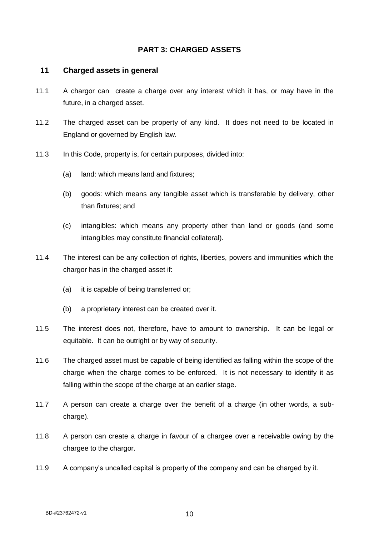### <span id="page-14-0"></span>**PART 3: CHARGED ASSETS**

#### <span id="page-14-1"></span>**11 Charged assets in general**

- 11.1 A chargor can create a charge over any interest which it has, or may have in the future, in a charged asset.
- 11.2 The charged asset can be property of any kind. It does not need to be located in England or governed by English law.
- 11.3 In this Code, property is, for certain purposes, divided into:
	- (a) land: which means land and fixtures;
	- (b) goods: which means any tangible asset which is transferable by delivery, other than fixtures; and
	- (c) intangibles: which means any property other than land or goods (and some intangibles may constitute financial collateral).
- 11.4 The interest can be any collection of rights, liberties, powers and immunities which the chargor has in the charged asset if:
	- (a) it is capable of being transferred or;
	- (b) a proprietary interest can be created over it.
- 11.5 The interest does not, therefore, have to amount to ownership. It can be legal or equitable. It can be outright or by way of security.
- 11.6 The charged asset must be capable of being identified as falling within the scope of the charge when the charge comes to be enforced. It is not necessary to identify it as falling within the scope of the charge at an earlier stage.
- 11.7 A person can create a charge over the benefit of a charge (in other words, a subcharge).
- 11.8 A person can create a charge in favour of a chargee over a receivable owing by the chargee to the chargor.
- 11.9 A company's uncalled capital is property of the company and can be charged by it.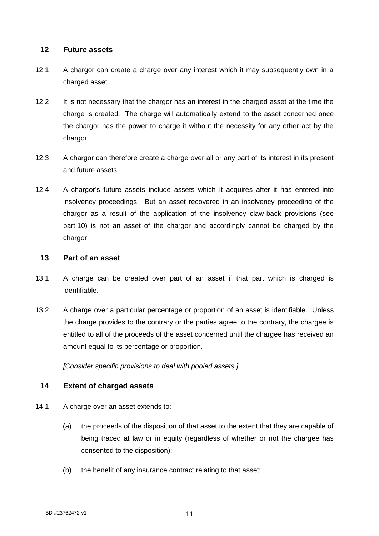### <span id="page-15-0"></span>**12 Future assets**

- 12.1 A chargor can create a charge over any interest which it may subsequently own in a charged asset.
- 12.2 It is not necessary that the chargor has an interest in the charged asset at the time the charge is created. The charge will automatically extend to the asset concerned once the chargor has the power to charge it without the necessity for any other act by the chargor.
- 12.3 A chargor can therefore create a charge over all or any part of its interest in its present and future assets.
- 12.4 A chargor's future assets include assets which it acquires after it has entered into insolvency proceedings. But an asset recovered in an insolvency proceeding of the chargor as a result of the application of the insolvency claw-back provisions (see part 10) is not an asset of the chargor and accordingly cannot be charged by the chargor.

#### <span id="page-15-1"></span>**13 Part of an asset**

- 13.1 A charge can be created over part of an asset if that part which is charged is identifiable.
- 13.2 A charge over a particular percentage or proportion of an asset is identifiable. Unless the charge provides to the contrary or the parties agree to the contrary, the chargee is entitled to all of the proceeds of the asset concerned until the chargee has received an amount equal to its percentage or proportion.

*[Consider specific provisions to deal with pooled assets.]*

### <span id="page-15-2"></span>**14 Extent of charged assets**

- 14.1 A charge over an asset extends to:
	- (a) the proceeds of the disposition of that asset to the extent that they are capable of being traced at law or in equity (regardless of whether or not the chargee has consented to the disposition);
	- (b) the benefit of any insurance contract relating to that asset;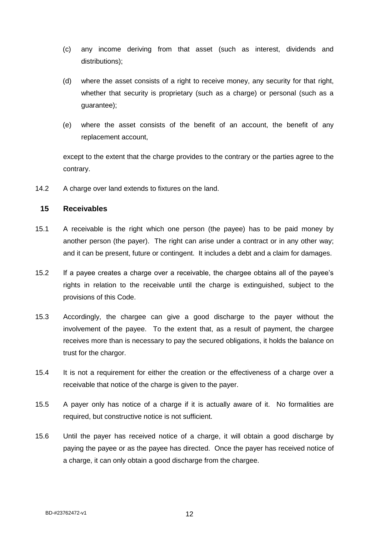- (c) any income deriving from that asset (such as interest, dividends and distributions);
- (d) where the asset consists of a right to receive money, any security for that right, whether that security is proprietary (such as a charge) or personal (such as a guarantee);
- (e) where the asset consists of the benefit of an account, the benefit of any replacement account,

except to the extent that the charge provides to the contrary or the parties agree to the contrary.

14.2 A charge over land extends to fixtures on the land.

### <span id="page-16-0"></span>**15 Receivables**

- 15.1 A receivable is the right which one person (the payee) has to be paid money by another person (the payer). The right can arise under a contract or in any other way; and it can be present, future or contingent. It includes a debt and a claim for damages.
- 15.2 If a payee creates a charge over a receivable, the chargee obtains all of the payee's rights in relation to the receivable until the charge is extinguished, subject to the provisions of this Code.
- 15.3 Accordingly, the chargee can give a good discharge to the payer without the involvement of the payee. To the extent that, as a result of payment, the chargee receives more than is necessary to pay the secured obligations, it holds the balance on trust for the chargor.
- 15.4 It is not a requirement for either the creation or the effectiveness of a charge over a receivable that notice of the charge is given to the payer.
- 15.5 A payer only has notice of a charge if it is actually aware of it. No formalities are required, but constructive notice is not sufficient.
- 15.6 Until the payer has received notice of a charge, it will obtain a good discharge by paying the payee or as the payee has directed. Once the payer has received notice of a charge, it can only obtain a good discharge from the chargee.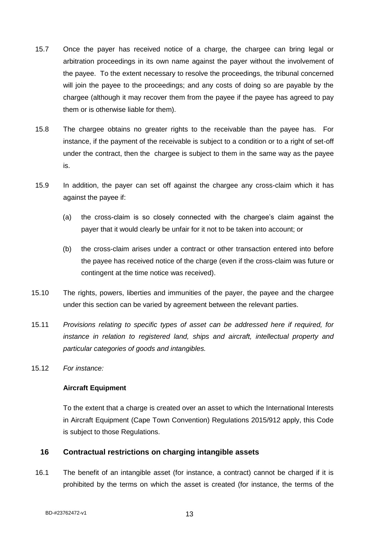- 15.7 Once the payer has received notice of a charge, the chargee can bring legal or arbitration proceedings in its own name against the payer without the involvement of the payee. To the extent necessary to resolve the proceedings, the tribunal concerned will join the payee to the proceedings; and any costs of doing so are payable by the chargee (although it may recover them from the payee if the payee has agreed to pay them or is otherwise liable for them).
- 15.8 The chargee obtains no greater rights to the receivable than the payee has. For instance, if the payment of the receivable is subject to a condition or to a right of set-off under the contract, then the chargee is subject to them in the same way as the payee is.
- 15.9 In addition, the payer can set off against the chargee any cross-claim which it has against the payee if:
	- (a) the cross-claim is so closely connected with the chargee's claim against the payer that it would clearly be unfair for it not to be taken into account; or
	- (b) the cross-claim arises under a contract or other transaction entered into before the payee has received notice of the charge (even if the cross-claim was future or contingent at the time notice was received).
- 15.10 The rights, powers, liberties and immunities of the payer, the payee and the chargee under this section can be varied by agreement between the relevant parties.
- 15.11 *Provisions relating to specific types of asset can be addressed here if required, for instance in relation to registered land, ships and aircraft, intellectual property and particular categories of goods and intangibles.*
- 15.12 *For instance:*

#### **Aircraft Equipment**

To the extent that a charge is created over an asset to which the International Interests in Aircraft Equipment (Cape Town Convention) Regulations 2015/912 apply, this Code is subject to those Regulations.

#### <span id="page-17-0"></span>**16 Contractual restrictions on charging intangible assets**

16.1 The benefit of an intangible asset (for instance, a contract) cannot be charged if it is prohibited by the terms on which the asset is created (for instance, the terms of the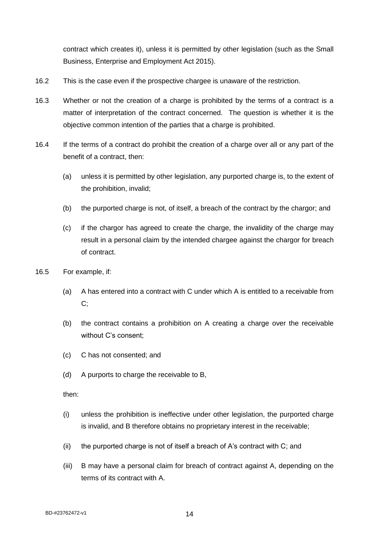contract which creates it), unless it is permitted by other legislation (such as the Small Business, Enterprise and Employment Act 2015).

- 16.2 This is the case even if the prospective chargee is unaware of the restriction.
- 16.3 Whether or not the creation of a charge is prohibited by the terms of a contract is a matter of interpretation of the contract concerned. The question is whether it is the objective common intention of the parties that a charge is prohibited.
- 16.4 If the terms of a contract do prohibit the creation of a charge over all or any part of the benefit of a contract, then:
	- (a) unless it is permitted by other legislation, any purported charge is, to the extent of the prohibition, invalid;
	- (b) the purported charge is not, of itself, a breach of the contract by the chargor; and
	- (c) if the chargor has agreed to create the charge, the invalidity of the charge may result in a personal claim by the intended chargee against the chargor for breach of contract.
- 16.5 For example, if:
	- (a) A has entered into a contract with C under which A is entitled to a receivable from C;
	- (b) the contract contains a prohibition on A creating a charge over the receivable without C's consent;
	- (c) C has not consented; and
	- (d) A purports to charge the receivable to B,

then:

- (i) unless the prohibition is ineffective under other legislation, the purported charge is invalid, and B therefore obtains no proprietary interest in the receivable;
- (ii) the purported charge is not of itself a breach of A's contract with C; and
- (iii) B may have a personal claim for breach of contract against A, depending on the terms of its contract with A.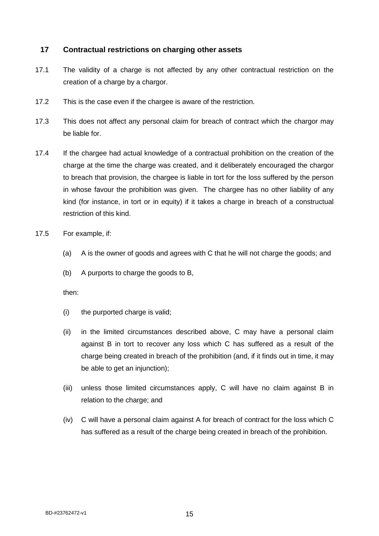### <span id="page-19-0"></span>**17 Contractual restrictions on charging other assets**

- 17.1 The validity of a charge is not affected by any other contractual restriction on the creation of a charge by a chargor.
- 17.2 This is the case even if the chargee is aware of the restriction.
- 17.3 This does not affect any personal claim for breach of contract which the chargor may be liable for.
- 17.4 If the chargee had actual knowledge of a contractual prohibition on the creation of the charge at the time the charge was created, and it deliberately encouraged the chargor to breach that provision, the chargee is liable in tort for the loss suffered by the person in whose favour the prohibition was given. The chargee has no other liability of any kind (for instance, in tort or in equity) if it takes a charge in breach of a constructual restriction of this kind.
- 17.5 For example, if:
	- (a) A is the owner of goods and agrees with C that he will not charge the goods; and
	- (b) A purports to charge the goods to B,

then:

- (i) the purported charge is valid;
- (ii) in the limited circumstances described above, C may have a personal claim against B in tort to recover any loss which C has suffered as a result of the charge being created in breach of the prohibition (and, if it finds out in time, it may be able to get an injunction);
- (iii) unless those limited circumstances apply, C will have no claim against B in relation to the charge; and
- (iv) C will have a personal claim against A for breach of contract for the loss which C has suffered as a result of the charge being created in breach of the prohibition.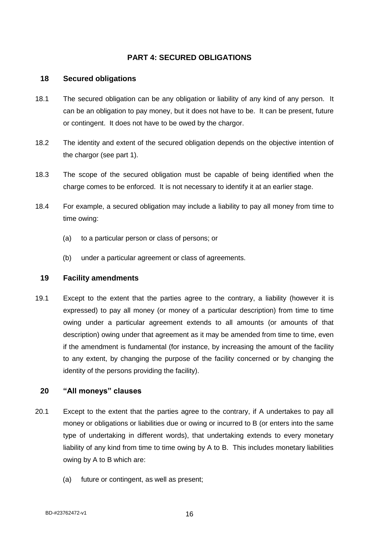### <span id="page-20-0"></span>**PART 4: SECURED OBLIGATIONS**

### <span id="page-20-1"></span>**18 Secured obligations**

- 18.1 The secured obligation can be any obligation or liability of any kind of any person. It can be an obligation to pay money, but it does not have to be. It can be present, future or contingent. It does not have to be owed by the chargor.
- 18.2 The identity and extent of the secured obligation depends on the objective intention of the chargor (see part 1).
- 18.3 The scope of the secured obligation must be capable of being identified when the charge comes to be enforced. It is not necessary to identify it at an earlier stage.
- 18.4 For example, a secured obligation may include a liability to pay all money from time to time owing:
	- (a) to a particular person or class of persons; or
	- (b) under a particular agreement or class of agreements.

#### <span id="page-20-2"></span>**19 Facility amendments**

19.1 Except to the extent that the parties agree to the contrary, a liability (however it is expressed) to pay all money (or money of a particular description) from time to time owing under a particular agreement extends to all amounts (or amounts of that description) owing under that agreement as it may be amended from time to time, even if the amendment is fundamental (for instance, by increasing the amount of the facility to any extent, by changing the purpose of the facility concerned or by changing the identity of the persons providing the facility).

#### <span id="page-20-3"></span>**20 "All moneys" clauses**

- 20.1 Except to the extent that the parties agree to the contrary, if A undertakes to pay all money or obligations or liabilities due or owing or incurred to B (or enters into the same type of undertaking in different words), that undertaking extends to every monetary liability of any kind from time to time owing by A to B. This includes monetary liabilities owing by A to B which are:
	- (a) future or contingent, as well as present;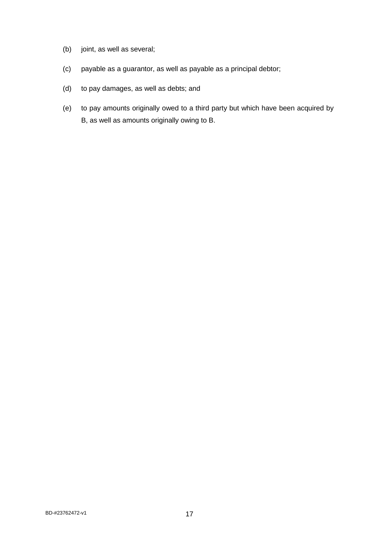- (b) joint, as well as several;
- (c) payable as a guarantor, as well as payable as a principal debtor;
- (d) to pay damages, as well as debts; and
- (e) to pay amounts originally owed to a third party but which have been acquired by B, as well as amounts originally owing to B.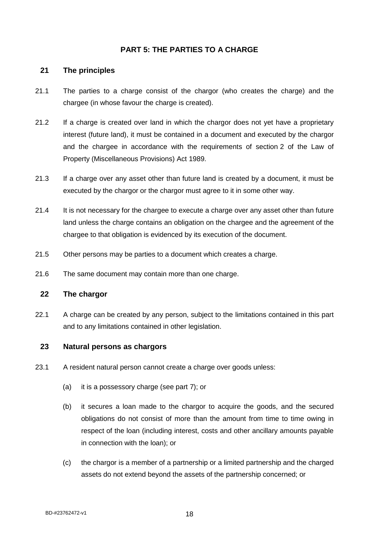### <span id="page-22-0"></span>**PART 5: THE PARTIES TO A CHARGE**

### <span id="page-22-1"></span>**21 The principles**

- 21.1 The parties to a charge consist of the chargor (who creates the charge) and the chargee (in whose favour the charge is created).
- 21.2 If a charge is created over land in which the chargor does not yet have a proprietary interest (future land), it must be contained in a document and executed by the chargor and the chargee in accordance with the requirements of section 2 of the Law of Property (Miscellaneous Provisions) Act 1989.
- 21.3 If a charge over any asset other than future land is created by a document, it must be executed by the chargor or the chargor must agree to it in some other way.
- 21.4 It is not necessary for the chargee to execute a charge over any asset other than future land unless the charge contains an obligation on the chargee and the agreement of the chargee to that obligation is evidenced by its execution of the document.
- 21.5 Other persons may be parties to a document which creates a charge.
- 21.6 The same document may contain more than one charge.

### <span id="page-22-2"></span>**22 The chargor**

22.1 A charge can be created by any person, subject to the limitations contained in this part and to any limitations contained in other legislation.

### <span id="page-22-3"></span>**23 Natural persons as chargors**

- 23.1 A resident natural person cannot create a charge over goods unless:
	- (a) it is a possessory charge (see part 7); or
	- (b) it secures a loan made to the chargor to acquire the goods, and the secured obligations do not consist of more than the amount from time to time owing in respect of the loan (including interest, costs and other ancillary amounts payable in connection with the loan); or
	- (c) the chargor is a member of a partnership or a limited partnership and the charged assets do not extend beyond the assets of the partnership concerned; or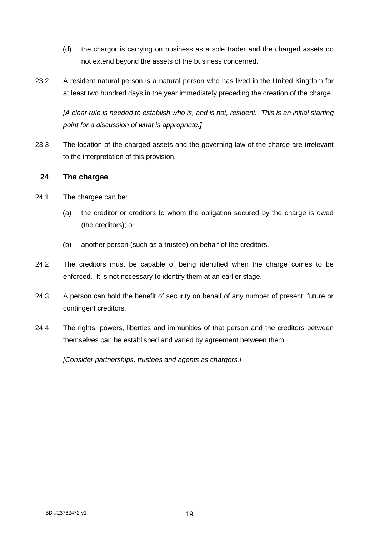- (d) the chargor is carrying on business as a sole trader and the charged assets do not extend beyond the assets of the business concerned.
- 23.2 A resident natural person is a natural person who has lived in the United Kingdom for at least two hundred days in the year immediately preceding the creation of the charge.

*[A clear rule is needed to establish who is, and is not, resident. This is an initial starting point for a discussion of what is appropriate.]*

23.3 The location of the charged assets and the governing law of the charge are irrelevant to the interpretation of this provision.

### <span id="page-23-0"></span>**24 The chargee**

- 24.1 The chargee can be:
	- (a) the creditor or creditors to whom the obligation secured by the charge is owed (the creditors); or
	- (b) another person (such as a trustee) on behalf of the creditors.
- 24.2 The creditors must be capable of being identified when the charge comes to be enforced. It is not necessary to identify them at an earlier stage.
- 24.3 A person can hold the benefit of security on behalf of any number of present, future or contingent creditors.
- 24.4 The rights, powers, liberties and immunities of that person and the creditors between themselves can be established and varied by agreement between them.

*[Consider partnerships, trustees and agents as chargors.]*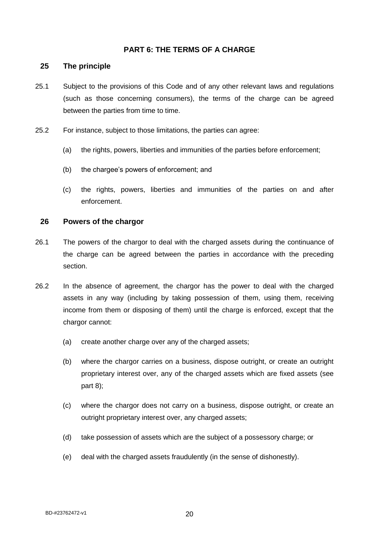### <span id="page-24-0"></span>**PART 6: THE TERMS OF A CHARGE**

#### <span id="page-24-1"></span>**25 The principle**

- 25.1 Subject to the provisions of this Code and of any other relevant laws and regulations (such as those concerning consumers), the terms of the charge can be agreed between the parties from time to time.
- 25.2 For instance, subject to those limitations, the parties can agree:
	- (a) the rights, powers, liberties and immunities of the parties before enforcement;
	- (b) the chargee's powers of enforcement; and
	- (c) the rights, powers, liberties and immunities of the parties on and after enforcement.

#### <span id="page-24-2"></span>**26 Powers of the chargor**

- 26.1 The powers of the chargor to deal with the charged assets during the continuance of the charge can be agreed between the parties in accordance with the preceding section.
- 26.2 In the absence of agreement, the chargor has the power to deal with the charged assets in any way (including by taking possession of them, using them, receiving income from them or disposing of them) until the charge is enforced, except that the chargor cannot:
	- (a) create another charge over any of the charged assets;
	- (b) where the chargor carries on a business, dispose outright, or create an outright proprietary interest over, any of the charged assets which are fixed assets (see part 8);
	- (c) where the chargor does not carry on a business, dispose outright, or create an outright proprietary interest over, any charged assets;
	- (d) take possession of assets which are the subject of a possessory charge; or
	- (e) deal with the charged assets fraudulently (in the sense of dishonestly).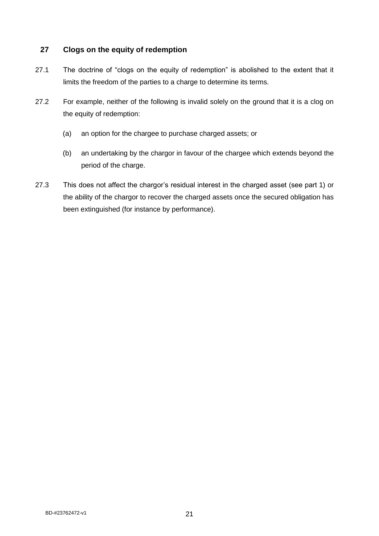### <span id="page-25-0"></span>**27 Clogs on the equity of redemption**

- 27.1 The doctrine of "clogs on the equity of redemption" is abolished to the extent that it limits the freedom of the parties to a charge to determine its terms.
- 27.2 For example, neither of the following is invalid solely on the ground that it is a clog on the equity of redemption:
	- (a) an option for the chargee to purchase charged assets; or
	- (b) an undertaking by the chargor in favour of the chargee which extends beyond the period of the charge.
- 27.3 This does not affect the chargor's residual interest in the charged asset (see part 1) or the ability of the chargor to recover the charged assets once the secured obligation has been extinguished (for instance by performance).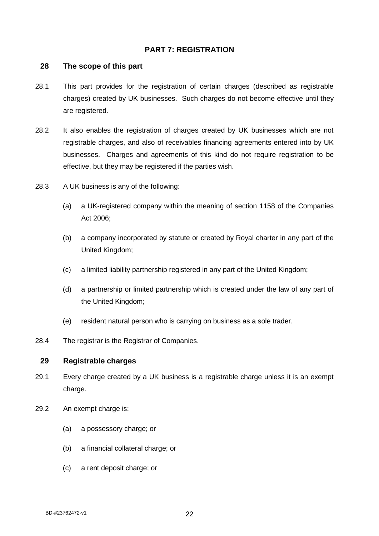### <span id="page-26-0"></span>**PART 7: REGISTRATION**

#### <span id="page-26-1"></span>**28 The scope of this part**

- 28.1 This part provides for the registration of certain charges (described as registrable charges) created by UK businesses. Such charges do not become effective until they are registered.
- 28.2 It also enables the registration of charges created by UK businesses which are not registrable charges, and also of receivables financing agreements entered into by UK businesses. Charges and agreements of this kind do not require registration to be effective, but they may be registered if the parties wish.
- 28.3 A UK business is any of the following:
	- (a) a UK-registered company within the meaning of section 1158 of the Companies Act 2006;
	- (b) a company incorporated by statute or created by Royal charter in any part of the United Kingdom;
	- (c) a limited liability partnership registered in any part of the United Kingdom;
	- (d) a partnership or limited partnership which is created under the law of any part of the United Kingdom;
	- (e) resident natural person who is carrying on business as a sole trader.
- 28.4 The registrar is the Registrar of Companies.

### <span id="page-26-2"></span>**29 Registrable charges**

- 29.1 Every charge created by a UK business is a registrable charge unless it is an exempt charge.
- 29.2 An exempt charge is:
	- (a) a possessory charge; or
	- (b) a financial collateral charge; or
	- (c) a rent deposit charge; or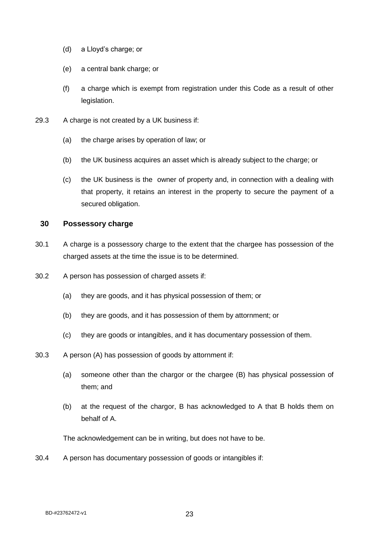- (d) a Lloyd's charge; or
- (e) a central bank charge; or
- (f) a charge which is exempt from registration under this Code as a result of other legislation.
- 29.3 A charge is not created by a UK business if:
	- (a) the charge arises by operation of law; or
	- (b) the UK business acquires an asset which is already subject to the charge; or
	- (c) the UK business is the owner of property and, in connection with a dealing with that property, it retains an interest in the property to secure the payment of a secured obligation.

#### <span id="page-27-0"></span>**30 Possessory charge**

- 30.1 A charge is a possessory charge to the extent that the chargee has possession of the charged assets at the time the issue is to be determined.
- 30.2 A person has possession of charged assets if:
	- (a) they are goods, and it has physical possession of them; or
	- (b) they are goods, and it has possession of them by attornment; or
	- (c) they are goods or intangibles, and it has documentary possession of them.
- 30.3 A person (A) has possession of goods by attornment if:
	- (a) someone other than the chargor or the chargee (B) has physical possession of them; and
	- (b) at the request of the chargor, B has acknowledged to A that B holds them on behalf of A.

The acknowledgement can be in writing, but does not have to be.

30.4 A person has documentary possession of goods or intangibles if: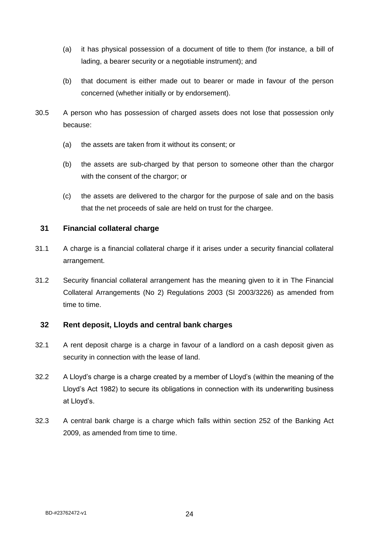- (a) it has physical possession of a document of title to them (for instance, a bill of lading, a bearer security or a negotiable instrument); and
- (b) that document is either made out to bearer or made in favour of the person concerned (whether initially or by endorsement).
- 30.5 A person who has possession of charged assets does not lose that possession only because:
	- (a) the assets are taken from it without its consent; or
	- (b) the assets are sub-charged by that person to someone other than the chargor with the consent of the chargor; or
	- (c) the assets are delivered to the chargor for the purpose of sale and on the basis that the net proceeds of sale are held on trust for the chargee.

### <span id="page-28-0"></span>**31 Financial collateral charge**

- 31.1 A charge is a financial collateral charge if it arises under a security financial collateral arrangement.
- 31.2 Security financial collateral arrangement has the meaning given to it in The Financial Collateral Arrangements (No 2) Regulations 2003 (SI 2003/3226) as amended from time to time.

### <span id="page-28-1"></span>**32 Rent deposit, Lloyds and central bank charges**

- 32.1 A rent deposit charge is a charge in favour of a landlord on a cash deposit given as security in connection with the lease of land.
- 32.2 A Lloyd's charge is a charge created by a member of Lloyd's (within the meaning of the Lloyd's Act 1982) to secure its obligations in connection with its underwriting business at Lloyd's.
- 32.3 A central bank charge is a charge which falls within section 252 of the Banking Act 2009, as amended from time to time.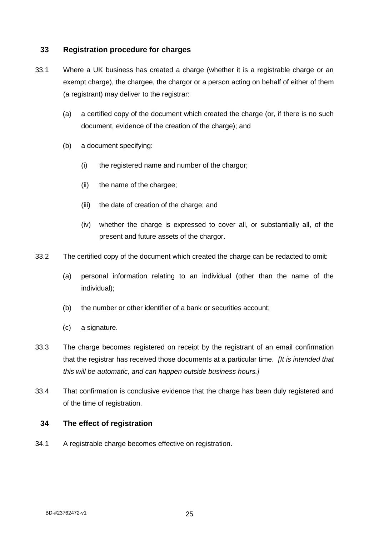### <span id="page-29-0"></span>**33 Registration procedure for charges**

- 33.1 Where a UK business has created a charge (whether it is a registrable charge or an exempt charge), the chargee, the chargor or a person acting on behalf of either of them (a registrant) may deliver to the registrar:
	- (a) a certified copy of the document which created the charge (or, if there is no such document, evidence of the creation of the charge); and
	- (b) a document specifying:
		- (i) the registered name and number of the chargor;
		- (ii) the name of the chargee;
		- (iii) the date of creation of the charge; and
		- (iv) whether the charge is expressed to cover all, or substantially all, of the present and future assets of the chargor.
- 33.2 The certified copy of the document which created the charge can be redacted to omit:
	- (a) personal information relating to an individual (other than the name of the individual);
	- (b) the number or other identifier of a bank or securities account;
	- (c) a signature.
- 33.3 The charge becomes registered on receipt by the registrant of an email confirmation that the registrar has received those documents at a particular time. *[It is intended that this will be automatic, and can happen outside business hours.]*
- 33.4 That confirmation is conclusive evidence that the charge has been duly registered and of the time of registration.

### <span id="page-29-1"></span>**34 The effect of registration**

34.1 A registrable charge becomes effective on registration.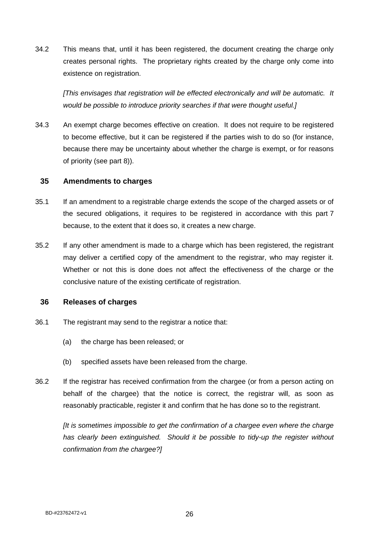34.2 This means that, until it has been registered, the document creating the charge only creates personal rights. The proprietary rights created by the charge only come into existence on registration.

*[This envisages that registration will be effected electronically and will be automatic. It would be possible to introduce priority searches if that were thought useful.]*

34.3 An exempt charge becomes effective on creation. It does not require to be registered to become effective, but it can be registered if the parties wish to do so (for instance, because there may be uncertainty about whether the charge is exempt, or for reasons of priority (see part 8)).

#### <span id="page-30-0"></span>**35 Amendments to charges**

- 35.1 If an amendment to a registrable charge extends the scope of the charged assets or of the secured obligations, it requires to be registered in accordance with this part 7 because, to the extent that it does so, it creates a new charge.
- 35.2 If any other amendment is made to a charge which has been registered, the registrant may deliver a certified copy of the amendment to the registrar, who may register it. Whether or not this is done does not affect the effectiveness of the charge or the conclusive nature of the existing certificate of registration.

### <span id="page-30-1"></span>**36 Releases of charges**

- 36.1 The registrant may send to the registrar a notice that:
	- (a) the charge has been released; or
	- (b) specified assets have been released from the charge.
- 36.2 If the registrar has received confirmation from the chargee (or from a person acting on behalf of the chargee) that the notice is correct, the registrar will, as soon as reasonably practicable, register it and confirm that he has done so to the registrant.

*[It is sometimes impossible to get the confirmation of a chargee even where the charge has clearly been extinguished. Should it be possible to tidy-up the register without confirmation from the chargee?]*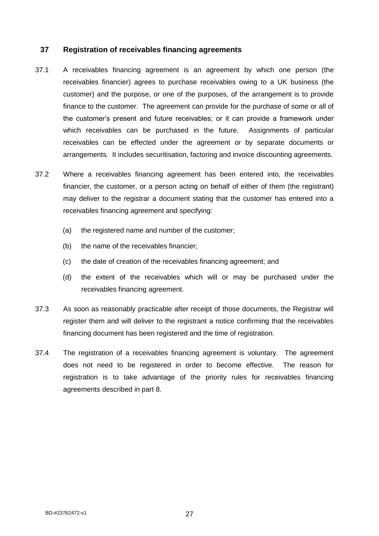### <span id="page-31-0"></span>**37 Registration of receivables financing agreements**

- 37.1 A receivables financing agreement is an agreement by which one person (the receivables financier) agrees to purchase receivables owing to a UK business (the customer) and the purpose, or one of the purposes, of the arrangement is to provide finance to the customer. The agreement can provide for the purchase of some or all of the customer's present and future receivables; or it can provide a framework under which receivables can be purchased in the future. Assignments of particular receivables can be effected under the agreement or by separate documents or arrangements. It includes securitisation, factoring and invoice discounting agreements.
- 37.2 Where a receivables financing agreement has been entered into, the receivables financier, the customer, or a person acting on behalf of either of them (the registrant) may deliver to the registrar a document stating that the customer has entered into a receivables financing agreement and specifying:
	- (a) the registered name and number of the customer;
	- (b) the name of the receivables financier;
	- (c) the date of creation of the receivables financing agreement; and
	- (d) the extent of the receivables which will or may be purchased under the receivables financing agreement.
- 37.3 As soon as reasonably practicable after receipt of those documents, the Registrar will register them and will deliver to the registrant a notice confirming that the receivables financing document has been registered and the time of registration.
- 37.4 The registration of a receivables financing agreement is voluntary. The agreement does not need to be registered in order to become effective. The reason for registration is to take advantage of the priority rules for receivables financing agreements described in part 8.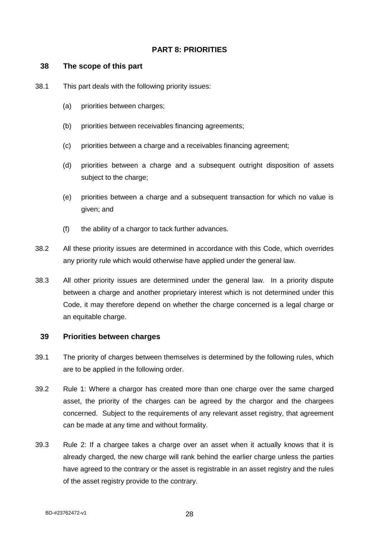### <span id="page-32-0"></span>**PART 8: PRIORITIES**

#### <span id="page-32-1"></span>**38 The scope of this part**

- 38.1 This part deals with the following priority issues:
	- (a) priorities between charges;
	- (b) priorities between receivables financing agreements;
	- (c) priorities between a charge and a receivables financing agreement;
	- (d) priorities between a charge and a subsequent outright disposition of assets subject to the charge;
	- (e) priorities between a charge and a subsequent transaction for which no value is given; and
	- (f) the ability of a chargor to tack further advances.
- 38.2 All these priority issues are determined in accordance with this Code, which overrides any priority rule which would otherwise have applied under the general law.
- 38.3 All other priority issues are determined under the general law. In a priority dispute between a charge and another proprietary interest which is not determined under this Code, it may therefore depend on whether the charge concerned is a legal charge or an equitable charge.

#### <span id="page-32-2"></span>**39 Priorities between charges**

- 39.1 The priority of charges between themselves is determined by the following rules, which are to be applied in the following order.
- 39.2 Rule 1: Where a chargor has created more than one charge over the same charged asset, the priority of the charges can be agreed by the chargor and the chargees concerned. Subject to the requirements of any relevant asset registry, that agreement can be made at any time and without formality.
- 39.3 Rule 2: If a chargee takes a charge over an asset when it actually knows that it is already charged, the new charge will rank behind the earlier charge unless the parties have agreed to the contrary or the asset is registrable in an asset registry and the rules of the asset registry provide to the contrary.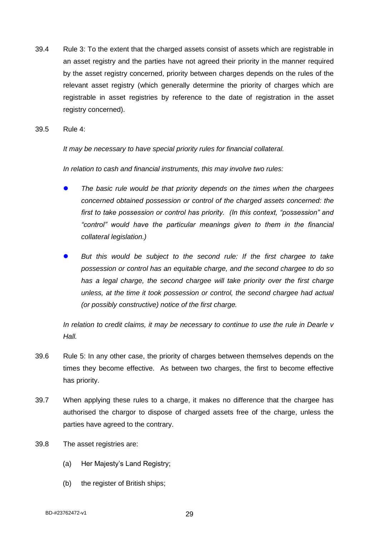39.4 Rule 3: To the extent that the charged assets consist of assets which are registrable in an asset registry and the parties have not agreed their priority in the manner required by the asset registry concerned, priority between charges depends on the rules of the relevant asset registry (which generally determine the priority of charges which are registrable in asset registries by reference to the date of registration in the asset registry concerned).

39.5 Rule 4:

*It may be necessary to have special priority rules for financial collateral.*

*In relation to cash and financial instruments, this may involve two rules:*

- *The basic rule would be that priority depends on the times when the chargees concerned obtained possession or control of the charged assets concerned: the first to take possession or control has priority. (In this context, "possession" and "control" would have the particular meanings given to them in the financial collateral legislation.)*
- *But this would be subject to the second rule: If the first chargee to take possession or control has an equitable charge, and the second chargee to do so has a legal charge, the second chargee will take priority over the first charge unless, at the time it took possession or control, the second chargee had actual (or possibly constructive) notice of the first charge.*

*In relation to credit claims, it may be necessary to continue to use the rule in Dearle v Hall.*

- 39.6 Rule 5: In any other case, the priority of charges between themselves depends on the times they become effective. As between two charges, the first to become effective has priority.
- 39.7 When applying these rules to a charge, it makes no difference that the chargee has authorised the chargor to dispose of charged assets free of the charge, unless the parties have agreed to the contrary.
- 39.8 The asset registries are:
	- (a) Her Majesty's Land Registry;
	- (b) the register of British ships;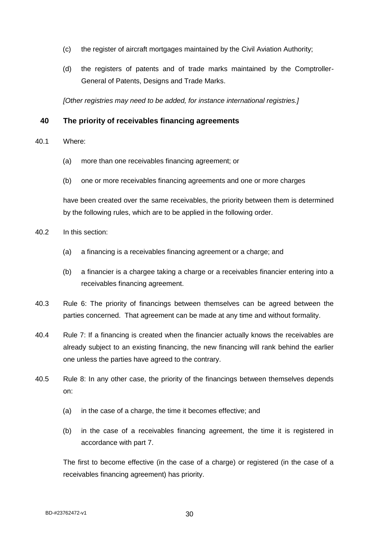- (c) the register of aircraft mortgages maintained by the Civil Aviation Authority;
- (d) the registers of patents and of trade marks maintained by the Comptroller-General of Patents, Designs and Trade Marks.

*[Other registries may need to be added, for instance international registries.]*

### <span id="page-34-0"></span>**40 The priority of receivables financing agreements**

- 40.1 Where:
	- (a) more than one receivables financing agreement; or
	- (b) one or more receivables financing agreements and one or more charges

have been created over the same receivables, the priority between them is determined by the following rules, which are to be applied in the following order.

- 40.2 In this section:
	- (a) a financing is a receivables financing agreement or a charge; and
	- (b) a financier is a chargee taking a charge or a receivables financier entering into a receivables financing agreement.
- 40.3 Rule 6: The priority of financings between themselves can be agreed between the parties concerned. That agreement can be made at any time and without formality.
- 40.4 Rule 7: If a financing is created when the financier actually knows the receivables are already subject to an existing financing, the new financing will rank behind the earlier one unless the parties have agreed to the contrary.
- 40.5 Rule 8: In any other case, the priority of the financings between themselves depends on:
	- (a) in the case of a charge, the time it becomes effective; and
	- (b) in the case of a receivables financing agreement, the time it is registered in accordance with part 7.

The first to become effective (in the case of a charge) or registered (in the case of a receivables financing agreement) has priority.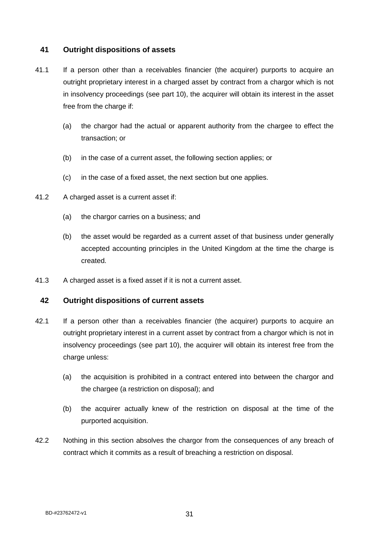### <span id="page-35-0"></span>**41 Outright dispositions of assets**

- 41.1 If a person other than a receivables financier (the acquirer) purports to acquire an outright proprietary interest in a charged asset by contract from a chargor which is not in insolvency proceedings (see part 10), the acquirer will obtain its interest in the asset free from the charge if:
	- (a) the chargor had the actual or apparent authority from the chargee to effect the transaction; or
	- (b) in the case of a current asset, the following section applies; or
	- (c) in the case of a fixed asset, the next section but one applies.
- 41.2 A charged asset is a current asset if:
	- (a) the chargor carries on a business; and
	- (b) the asset would be regarded as a current asset of that business under generally accepted accounting principles in the United Kingdom at the time the charge is created.
- 41.3 A charged asset is a fixed asset if it is not a current asset.

### <span id="page-35-1"></span>**42 Outright dispositions of current assets**

- 42.1 If a person other than a receivables financier (the acquirer) purports to acquire an outright proprietary interest in a current asset by contract from a chargor which is not in insolvency proceedings (see part 10), the acquirer will obtain its interest free from the charge unless:
	- (a) the acquisition is prohibited in a contract entered into between the chargor and the chargee (a restriction on disposal); and
	- (b) the acquirer actually knew of the restriction on disposal at the time of the purported acquisition.
- 42.2 Nothing in this section absolves the chargor from the consequences of any breach of contract which it commits as a result of breaching a restriction on disposal.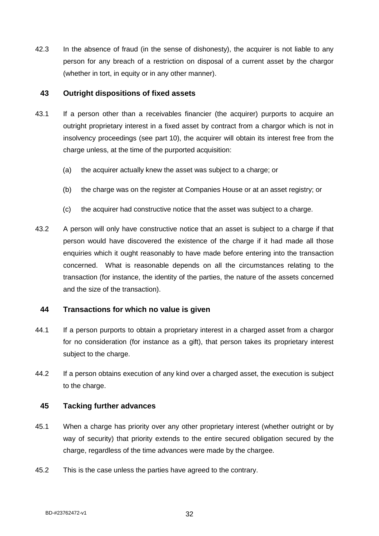42.3 In the absence of fraud (in the sense of dishonesty), the acquirer is not liable to any person for any breach of a restriction on disposal of a current asset by the chargor (whether in tort, in equity or in any other manner).

### <span id="page-36-0"></span>**43 Outright dispositions of fixed assets**

- 43.1 If a person other than a receivables financier (the acquirer) purports to acquire an outright proprietary interest in a fixed asset by contract from a chargor which is not in insolvency proceedings (see part 10), the acquirer will obtain its interest free from the charge unless, at the time of the purported acquisition:
	- (a) the acquirer actually knew the asset was subject to a charge; or
	- (b) the charge was on the register at Companies House or at an asset registry; or
	- (c) the acquirer had constructive notice that the asset was subject to a charge.
- 43.2 A person will only have constructive notice that an asset is subject to a charge if that person would have discovered the existence of the charge if it had made all those enquiries which it ought reasonably to have made before entering into the transaction concerned. What is reasonable depends on all the circumstances relating to the transaction (for instance, the identity of the parties, the nature of the assets concerned and the size of the transaction).

### <span id="page-36-1"></span>**44 Transactions for which no value is given**

- 44.1 If a person purports to obtain a proprietary interest in a charged asset from a chargor for no consideration (for instance as a gift), that person takes its proprietary interest subject to the charge.
- 44.2 If a person obtains execution of any kind over a charged asset, the execution is subject to the charge.

#### <span id="page-36-2"></span>**45 Tacking further advances**

- 45.1 When a charge has priority over any other proprietary interest (whether outright or by way of security) that priority extends to the entire secured obligation secured by the charge, regardless of the time advances were made by the chargee.
- 45.2 This is the case unless the parties have agreed to the contrary.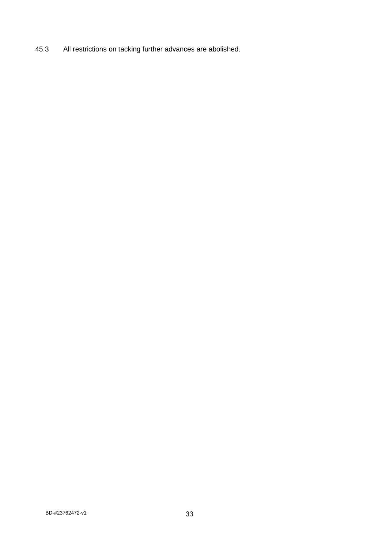45.3 All restrictions on tacking further advances are abolished.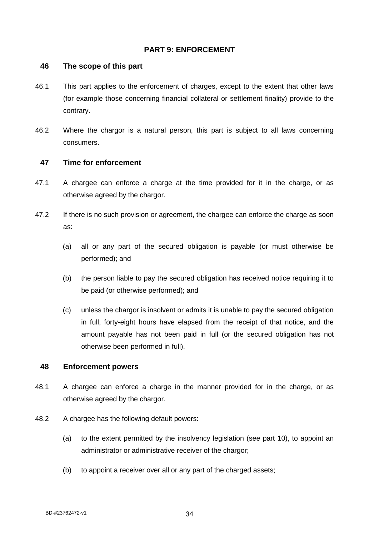### <span id="page-38-0"></span>**PART 9: ENFORCEMENT**

#### <span id="page-38-1"></span>**46 The scope of this part**

- 46.1 This part applies to the enforcement of charges, except to the extent that other laws (for example those concerning financial collateral or settlement finality) provide to the contrary.
- 46.2 Where the chargor is a natural person, this part is subject to all laws concerning consumers.

#### <span id="page-38-2"></span>**47 Time for enforcement**

- 47.1 A chargee can enforce a charge at the time provided for it in the charge, or as otherwise agreed by the chargor.
- 47.2 If there is no such provision or agreement, the chargee can enforce the charge as soon as:
	- (a) all or any part of the secured obligation is payable (or must otherwise be performed); and
	- (b) the person liable to pay the secured obligation has received notice requiring it to be paid (or otherwise performed); and
	- (c) unless the chargor is insolvent or admits it is unable to pay the secured obligation in full, forty-eight hours have elapsed from the receipt of that notice, and the amount payable has not been paid in full (or the secured obligation has not otherwise been performed in full).

#### <span id="page-38-3"></span>**48 Enforcement powers**

- 48.1 A chargee can enforce a charge in the manner provided for in the charge, or as otherwise agreed by the chargor.
- 48.2 A chargee has the following default powers:
	- (a) to the extent permitted by the insolvency legislation (see part 10), to appoint an administrator or administrative receiver of the chargor;
	- (b) to appoint a receiver over all or any part of the charged assets;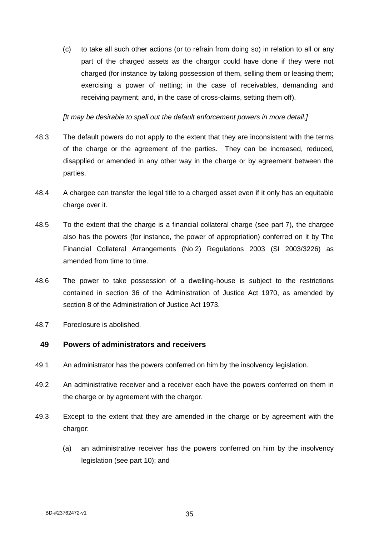(c) to take all such other actions (or to refrain from doing so) in relation to all or any part of the charged assets as the chargor could have done if they were not charged (for instance by taking possession of them, selling them or leasing them; exercising a power of netting; in the case of receivables, demanding and receiving payment; and, in the case of cross-claims, setting them off).

*[It may be desirable to spell out the default enforcement powers in more detail.]*

- 48.3 The default powers do not apply to the extent that they are inconsistent with the terms of the charge or the agreement of the parties. They can be increased, reduced, disapplied or amended in any other way in the charge or by agreement between the parties.
- 48.4 A chargee can transfer the legal title to a charged asset even if it only has an equitable charge over it.
- 48.5 To the extent that the charge is a financial collateral charge (see part 7), the chargee also has the powers (for instance, the power of appropriation) conferred on it by The Financial Collateral Arrangements (No 2) Regulations 2003 (SI 2003/3226) as amended from time to time.
- 48.6 The power to take possession of a dwelling-house is subject to the restrictions contained in section 36 of the Administration of Justice Act 1970, as amended by section 8 of the Administration of Justice Act 1973.
- 48.7 Foreclosure is abolished.

#### <span id="page-39-0"></span>**49 Powers of administrators and receivers**

- 49.1 An administrator has the powers conferred on him by the insolvency legislation.
- 49.2 An administrative receiver and a receiver each have the powers conferred on them in the charge or by agreement with the chargor.
- 49.3 Except to the extent that they are amended in the charge or by agreement with the chargor:
	- (a) an administrative receiver has the powers conferred on him by the insolvency legislation (see part 10); and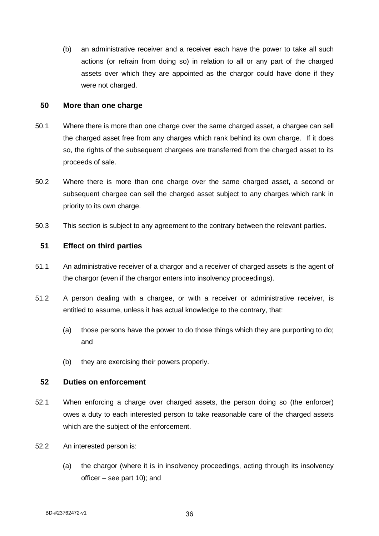(b) an administrative receiver and a receiver each have the power to take all such actions (or refrain from doing so) in relation to all or any part of the charged assets over which they are appointed as the chargor could have done if they were not charged.

#### <span id="page-40-0"></span>**50 More than one charge**

- 50.1 Where there is more than one charge over the same charged asset, a chargee can sell the charged asset free from any charges which rank behind its own charge. If it does so, the rights of the subsequent chargees are transferred from the charged asset to its proceeds of sale.
- 50.2 Where there is more than one charge over the same charged asset, a second or subsequent chargee can sell the charged asset subject to any charges which rank in priority to its own charge.
- 50.3 This section is subject to any agreement to the contrary between the relevant parties.

#### <span id="page-40-1"></span>**51 Effect on third parties**

- 51.1 An administrative receiver of a chargor and a receiver of charged assets is the agent of the chargor (even if the chargor enters into insolvency proceedings).
- 51.2 A person dealing with a chargee, or with a receiver or administrative receiver, is entitled to assume, unless it has actual knowledge to the contrary, that:
	- (a) those persons have the power to do those things which they are purporting to do; and
	- (b) they are exercising their powers properly.

#### <span id="page-40-2"></span>**52 Duties on enforcement**

- 52.1 When enforcing a charge over charged assets, the person doing so (the enforcer) owes a duty to each interested person to take reasonable care of the charged assets which are the subject of the enforcement.
- 52.2 An interested person is:
	- (a) the chargor (where it is in insolvency proceedings, acting through its insolvency officer – see part 10); and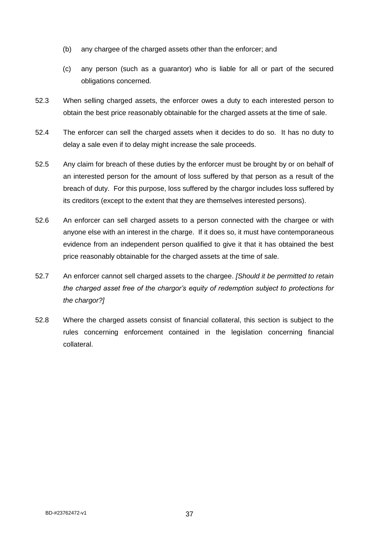- (b) any chargee of the charged assets other than the enforcer; and
- (c) any person (such as a guarantor) who is liable for all or part of the secured obligations concerned.
- 52.3 When selling charged assets, the enforcer owes a duty to each interested person to obtain the best price reasonably obtainable for the charged assets at the time of sale.
- 52.4 The enforcer can sell the charged assets when it decides to do so. It has no duty to delay a sale even if to delay might increase the sale proceeds.
- 52.5 Any claim for breach of these duties by the enforcer must be brought by or on behalf of an interested person for the amount of loss suffered by that person as a result of the breach of duty. For this purpose, loss suffered by the chargor includes loss suffered by its creditors (except to the extent that they are themselves interested persons).
- 52.6 An enforcer can sell charged assets to a person connected with the chargee or with anyone else with an interest in the charge. If it does so, it must have contemporaneous evidence from an independent person qualified to give it that it has obtained the best price reasonably obtainable for the charged assets at the time of sale.
- 52.7 An enforcer cannot sell charged assets to the chargee. *[Should it be permitted to retain the charged asset free of the chargor's equity of redemption subject to protections for the chargor?]*
- 52.8 Where the charged assets consist of financial collateral, this section is subject to the rules concerning enforcement contained in the legislation concerning financial collateral.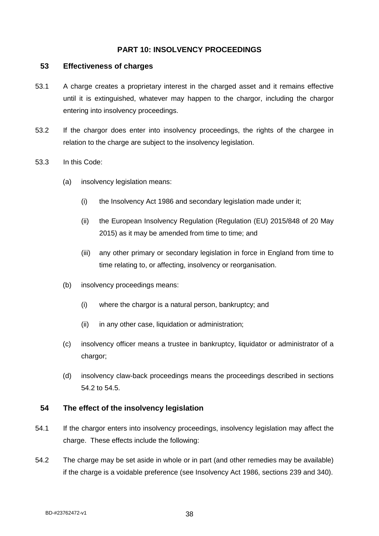### <span id="page-42-0"></span>**PART 10: INSOLVENCY PROCEEDINGS**

#### <span id="page-42-1"></span>**53 Effectiveness of charges**

- 53.1 A charge creates a proprietary interest in the charged asset and it remains effective until it is extinguished, whatever may happen to the chargor, including the chargor entering into insolvency proceedings.
- 53.2 If the chargor does enter into insolvency proceedings, the rights of the chargee in relation to the charge are subject to the insolvency legislation.
- 53.3 In this Code:
	- (a) insolvency legislation means:
		- (i) the Insolvency Act 1986 and secondary legislation made under it;
		- (ii) the European Insolvency Regulation (Regulation (EU) 2015/848 of 20 May 2015) as it may be amended from time to time; and
		- (iii) any other primary or secondary legislation in force in England from time to time relating to, or affecting, insolvency or reorganisation.
	- (b) insolvency proceedings means:
		- (i) where the chargor is a natural person, bankruptcy; and
		- (ii) in any other case, liquidation or administration;
	- (c) insolvency officer means a trustee in bankruptcy, liquidator or administrator of a chargor;
	- (d) insolvency claw-back proceedings means the proceedings described in sections 54.2 to 54.5.

### <span id="page-42-2"></span>**54 The effect of the insolvency legislation**

- 54.1 If the chargor enters into insolvency proceedings, insolvency legislation may affect the charge. These effects include the following:
- 54.2 The charge may be set aside in whole or in part (and other remedies may be available) if the charge is a voidable preference (see Insolvency Act 1986, sections 239 and 340).